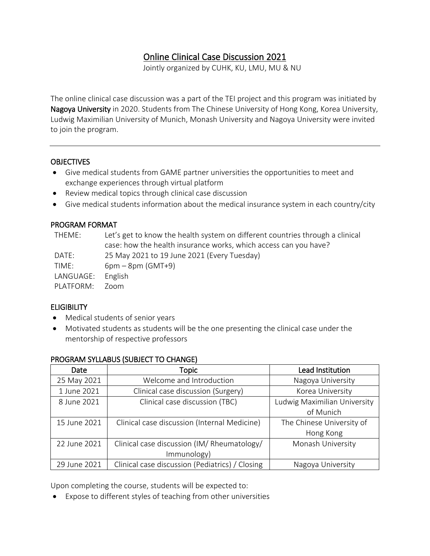# Online Clinical Case Discussion 2021

Jointly organized by CUHK, KU, LMU, MU & NU

The online clinical case discussion was a part of the TEI project and this program was initiated by Nagoya University in 2020. Students from The Chinese University of Hong Kong, Korea University, Ludwig Maximilian University of Munich, Monash University and Nagoya University were invited to join the program.

## **OBJECTIVES**

- Give medical students from GAME partner universities the opportunities to meet and exchange experiences through virtual platform
- Review medical topics through clinical case discussion
- Give medical students information about the medical insurance system in each country/city

## PROGRAM FORMAT

THEME: Let's get to know the health system on different countries through a clinical case: how the health insurance works, which access can you have? DATE: 25 May 2021 to 19 June 2021 (Every Tuesday)  $TIME: 6pm - 8pm (GMT+9)$ LANGUAGE: English PLATFORM: Zoom

## **ELIGIBILITY**

- Medical students of senior years
- Motivated students as students will be the one presenting the clinical case under the mentorship of respective professors

| Date         | Topic                                                      | Lead Institution                          |
|--------------|------------------------------------------------------------|-------------------------------------------|
| 25 May 2021  | Welcome and Introduction                                   | Nagoya University                         |
| 1 June 2021  | Clinical case discussion (Surgery)                         | Korea University                          |
| 8 June 2021  | Clinical case discussion (TBC)                             | Ludwig Maximilian University<br>of Munich |
| 15 June 2021 | Clinical case discussion (Internal Medicine)               | The Chinese University of<br>Hong Kong    |
| 22 June 2021 | Clinical case discussion (IM/ Rheumatology/<br>Immunology) | Monash University                         |
| 29 June 2021 | Clinical case discussion (Pediatrics) / Closing            | Nagoya University                         |

#### PROGRAM SYLLABUS (SUBJECT TO CHANGE)

Upon completing the course, students will be expected to:

Expose to different styles of teaching from other universities